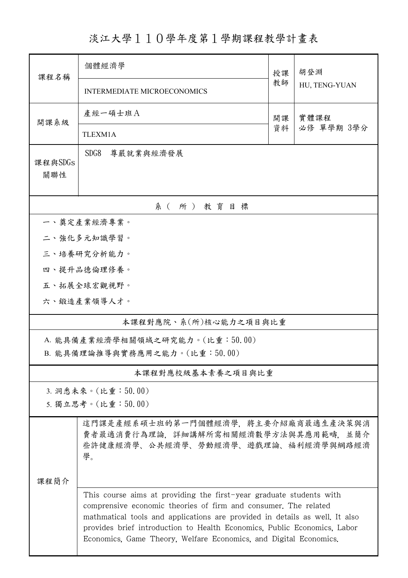淡江大學110學年度第1學期課程教學計畫表

| 課程名稱                            | 個體經濟學<br>授課                                                                                                                                                                                                                                                                                                                                                            |          | 胡登淵           |  |  |  |  |
|---------------------------------|------------------------------------------------------------------------------------------------------------------------------------------------------------------------------------------------------------------------------------------------------------------------------------------------------------------------------------------------------------------------|----------|---------------|--|--|--|--|
|                                 | <b>INTERMEDIATE MICROECONOMICS</b>                                                                                                                                                                                                                                                                                                                                     | 教師       | HU, TENG-YUAN |  |  |  |  |
| 開課系級                            | 產經一碩士班A                                                                                                                                                                                                                                                                                                                                                                | 開課<br>資料 | 實體課程          |  |  |  |  |
|                                 | TLEXM1A                                                                                                                                                                                                                                                                                                                                                                |          | 必修 單學期 3學分    |  |  |  |  |
| 課程與SDGs<br>關聯性                  | SDG <sub>8</sub><br>尊嚴就業與經濟發展                                                                                                                                                                                                                                                                                                                                          |          |               |  |  |  |  |
|                                 | 系(所)教育目標                                                                                                                                                                                                                                                                                                                                                               |          |               |  |  |  |  |
|                                 | 一、奠定產業經濟專業。                                                                                                                                                                                                                                                                                                                                                            |          |               |  |  |  |  |
|                                 | 二、強化多元知識學習。                                                                                                                                                                                                                                                                                                                                                            |          |               |  |  |  |  |
|                                 | 三、培養研究分析能力。                                                                                                                                                                                                                                                                                                                                                            |          |               |  |  |  |  |
|                                 | 四、提升品德倫理修養。                                                                                                                                                                                                                                                                                                                                                            |          |               |  |  |  |  |
|                                 | 五、拓展全球宏觀視野。                                                                                                                                                                                                                                                                                                                                                            |          |               |  |  |  |  |
|                                 | 六、鍛造產業領導人才。                                                                                                                                                                                                                                                                                                                                                            |          |               |  |  |  |  |
| 本課程對應院、系(所)核心能力之項目與比重           |                                                                                                                                                                                                                                                                                                                                                                        |          |               |  |  |  |  |
| A. 能具備產業經濟學相關領域之研究能力。(比重:50.00) |                                                                                                                                                                                                                                                                                                                                                                        |          |               |  |  |  |  |
| B. 能具備理論推導與實務應用之能力。(比重:50.00)   |                                                                                                                                                                                                                                                                                                                                                                        |          |               |  |  |  |  |
| 本課程對應校級基本素養之項目與比重               |                                                                                                                                                                                                                                                                                                                                                                        |          |               |  |  |  |  |
|                                 | 3. 洞悉未來。(比重:50.00)                                                                                                                                                                                                                                                                                                                                                     |          |               |  |  |  |  |
| 5. 獨立思考。(比重:50.00)              |                                                                                                                                                                                                                                                                                                                                                                        |          |               |  |  |  |  |
| 課程簡介                            | 這門課是產經系碩士班的第一門個體經濟學,將主要介紹廠商最適生產決策與消<br>費者最適消費行為理論,詳細講解所需相關經濟數學方法與其應用範疇,並簡介<br>些許健康經濟學、公共經濟學、勞動經濟學、遊戲理論、福利經濟學與網路經濟<br>學。                                                                                                                                                                                                                                                |          |               |  |  |  |  |
|                                 |                                                                                                                                                                                                                                                                                                                                                                        |          |               |  |  |  |  |
|                                 | This course aims at providing the first-year graduate students with<br>comprensive economic theories of firm and consumer. The related<br>mathmatical tools and applications are provided in details as well. It also<br>provides brief introduction to Health Economics, Public Economics, Labor<br>Economics, Game Theory, Welfare Economics, and Digital Economics. |          |               |  |  |  |  |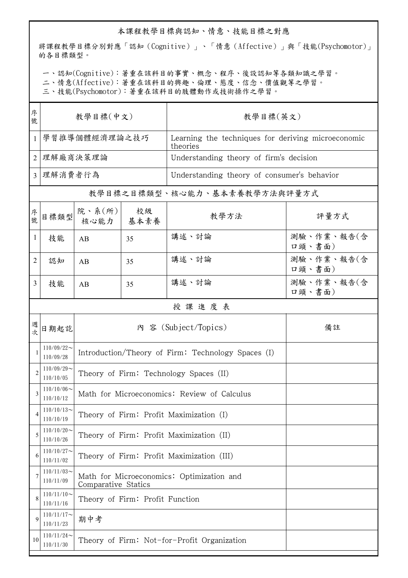## 本課程教學目標與認知、情意、技能目標之對應

將課程教學目標分別對應「認知(Cognitive)」、「情意(Affective)」與「技能(Psychomotor)」 的各目標類型。

一、認知(Cognitive):著重在該科目的事實、概念、程序、後設認知等各類知識之學習。

二、情意(Affective):著重在該科目的興趣、倫理、態度、信念、價值觀等之學習。

三、技能(Psychomotor):著重在該科目的肢體動作或技術操作之學習。

| 序<br>號         | 教學目標(中文)                      |                                                                  |              | 教學目標(英文)                                                       |                      |  |
|----------------|-------------------------------|------------------------------------------------------------------|--------------|----------------------------------------------------------------|----------------------|--|
| 1              | 學習推導個體經濟理論之技巧                 |                                                                  |              | Learning the techniques for deriving microeconomic<br>theories |                      |  |
| $\overline{2}$ | 理解廠商決策理論                      |                                                                  |              | Understanding theory of firm's decision                        |                      |  |
| $\overline{3}$ | 理解消費者行為                       |                                                                  |              | Understanding theory of consumer's behavior                    |                      |  |
|                |                               |                                                                  |              | 教學目標之目標類型、核心能力、基本素養教學方法與評量方式                                   |                      |  |
| 序號             | 目標類型                          | 院、系(所) <br>核心能力                                                  | 校級<br>│ 基本素養 | 教學方法                                                           | 評量方式                 |  |
| 1              | 技能                            | AB                                                               | 35           | 講述、討論                                                          | 測驗、作業、報告(含<br>口頭、書面) |  |
| $\overline{2}$ | 認知                            | AB                                                               | 35           | 講述、討論                                                          | 測驗、作業、報告(含<br>口頭、書面) |  |
| 3              | 技能                            | AB                                                               | 35           | 講述、討論                                                          | 測驗、作業、報告(含<br>口頭、書面) |  |
|                | 授課進度表                         |                                                                  |              |                                                                |                      |  |
| 週次             | 日期起訖                          | 內 容 (Subject/Topics)                                             |              |                                                                | 備註                   |  |
|                | $110/09/22$ ~<br>110/09/28    | Introduction/Theory of Firm: Technology Spaces (I)               |              |                                                                |                      |  |
| $\overline{2}$ | $110/09/29$ ~<br>110/10/05    | Theory of Firm: Technology Spaces (II)                           |              |                                                                |                      |  |
| 3              | $110/10/06 \sim$<br>110/10/12 | Math for Microeconomics: Review of Calculus                      |              |                                                                |                      |  |
| 4              | $110/10/13$ ~<br>110/10/19    | Theory of Firm: Profit Maximization (I)                          |              |                                                                |                      |  |
| 5              | $110/10/20$ ~<br>110/10/26    | Theory of Firm: Profit Maximization (II)                         |              |                                                                |                      |  |
| 6              | $110/10/27$ ~<br>110/11/02    | Theory of Firm: Profit Maximization (III)                        |              |                                                                |                      |  |
| 7              | $110/11/03$ ~<br>110/11/09    | Math for Microeconomics: Optimization and<br>Comparative Statics |              |                                                                |                      |  |
| 8              | $110/11/10$ ~<br>110/11/16    | Theory of Firm: Profit Function                                  |              |                                                                |                      |  |
| 9              | $110/11/17$ ~<br>110/11/23    | 期中考                                                              |              |                                                                |                      |  |
| 10             | $110/11/24$ ~<br>110/11/30    | Theory of Firm: Not-for-Profit Organization                      |              |                                                                |                      |  |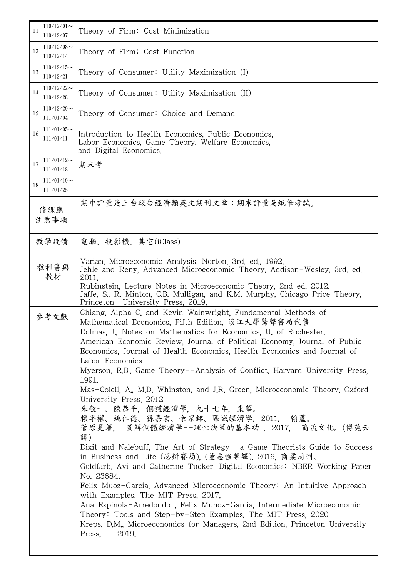| 11<br>110/12/07                  | $110/12/01$ ~<br>Theory of Firm: Cost Minimization                                                                                                                                                                                                                                                                                                                                                                                                                                                                                                                                                                                                                                                                                                                                                                                                                                                                                                                                                                                                                                                                                                                                                                                                                             |  |  |  |  |
|----------------------------------|--------------------------------------------------------------------------------------------------------------------------------------------------------------------------------------------------------------------------------------------------------------------------------------------------------------------------------------------------------------------------------------------------------------------------------------------------------------------------------------------------------------------------------------------------------------------------------------------------------------------------------------------------------------------------------------------------------------------------------------------------------------------------------------------------------------------------------------------------------------------------------------------------------------------------------------------------------------------------------------------------------------------------------------------------------------------------------------------------------------------------------------------------------------------------------------------------------------------------------------------------------------------------------|--|--|--|--|
| $110/12/08$ ~<br>12<br>110/12/14 | Theory of Firm: Cost Function                                                                                                                                                                                                                                                                                                                                                                                                                                                                                                                                                                                                                                                                                                                                                                                                                                                                                                                                                                                                                                                                                                                                                                                                                                                  |  |  |  |  |
| $110/12/15$ ~<br>13<br>110/12/21 | Theory of Consumer: Utility Maximization (I)                                                                                                                                                                                                                                                                                                                                                                                                                                                                                                                                                                                                                                                                                                                                                                                                                                                                                                                                                                                                                                                                                                                                                                                                                                   |  |  |  |  |
| $110/12/22$ ~<br>14<br>110/12/28 | Theory of Consumer: Utility Maximization (II)                                                                                                                                                                                                                                                                                                                                                                                                                                                                                                                                                                                                                                                                                                                                                                                                                                                                                                                                                                                                                                                                                                                                                                                                                                  |  |  |  |  |
| $110/12/29$ ~<br>15<br>111/01/04 | Theory of Consumer: Choice and Demand                                                                                                                                                                                                                                                                                                                                                                                                                                                                                                                                                                                                                                                                                                                                                                                                                                                                                                                                                                                                                                                                                                                                                                                                                                          |  |  |  |  |
| $111/01/05$ ~<br>16<br>111/01/11 | Introduction to Health Economics, Public Economics,<br>Labor Economics, Game Theory, Welfare Economics,<br>and Digital Economics.                                                                                                                                                                                                                                                                                                                                                                                                                                                                                                                                                                                                                                                                                                                                                                                                                                                                                                                                                                                                                                                                                                                                              |  |  |  |  |
| $111/01/12$ ~<br>17<br>111/01/18 | 期末考                                                                                                                                                                                                                                                                                                                                                                                                                                                                                                                                                                                                                                                                                                                                                                                                                                                                                                                                                                                                                                                                                                                                                                                                                                                                            |  |  |  |  |
| $111/01/19$ ~<br>18<br>111/01/25 |                                                                                                                                                                                                                                                                                                                                                                                                                                                                                                                                                                                                                                                                                                                                                                                                                                                                                                                                                                                                                                                                                                                                                                                                                                                                                |  |  |  |  |
| 修課應<br>注意事項                      | 期中評量是上台報告經濟類英文期刊文章;期末評量是紙筆考試。                                                                                                                                                                                                                                                                                                                                                                                                                                                                                                                                                                                                                                                                                                                                                                                                                                                                                                                                                                                                                                                                                                                                                                                                                                                  |  |  |  |  |
| 教學設備                             | 電腦、投影機、其它(iClass)                                                                                                                                                                                                                                                                                                                                                                                                                                                                                                                                                                                                                                                                                                                                                                                                                                                                                                                                                                                                                                                                                                                                                                                                                                                              |  |  |  |  |
| 教科書與<br>教材                       | Varian, Microeconomic Analysis, Norton, 3rd. ed., 1992.<br>Jehle and Reny, Advanced Microeconomic Theory, Addison-Wesley, 3rd. ed.<br>2011.<br>Rubinstein, Lecture Notes in Microeconomic Theory, 2nd ed. 2012.<br>Jaffe, S., R. Minton, C.B. Mulligan, and K.M. Murphy, Chicago Price Theory,<br>University Press, 2019.<br>Princeton                                                                                                                                                                                                                                                                                                                                                                                                                                                                                                                                                                                                                                                                                                                                                                                                                                                                                                                                         |  |  |  |  |
| 參考文獻                             | Chiang, Alpha C. and Kevin Wainwright, Fundamental Methods of<br>Mathematical Economics. Fifth Edition. 淡江大學驚聲書局代售<br>Dolmas, J., Notes on Mathematics for Economics, U. of Rochester.<br>American Economic Review, Journal of Political Economy, Journal of Public<br>Economics, Journal of Health Economics, Health Economics and Journal of<br>Labor Economics<br>Myerson, R.B., Game Theory--Analysis of Conflict, Harvard University Press,<br>1991.<br>Mas-Colell, A., M.D. Whinston, and J.R. Green, Microeconomic Theory, Oxford<br>University Press, 2012.<br>朱敬一、陳恭平,個體經濟學,九十七年,東華。<br>賴孚權、姚仁德、孫嘉宏、余家銘、區域經濟學,2011, 翰蘆。<br>菅原晃著, 圖解個體經濟學--理性決策的基本功 ,2017, 商流文化。(傅莞云<br>譯)<br>Dixit and Nalebuff, The Art of Strategy--a Game Theorists Guide to Success<br>in Business and Life (思辨賽局), (董志強等譯), 2016, 商業周刊。<br>Goldfarb, Avi and Catherine Tucker, Digital Economics; NBER Working Paper<br>No. 23684.<br>Felix Muoz-Garcia, Advanced Microeconomic Theory: An Intuitive Approach<br>with Examples, The MIT Press, 2017.<br>Ana Espinola-Arredondo, Felix Munoz-Garcia, Intermediate Microeconomic<br>Theory: Tools and Step-by-Step Examples. The MIT Press, 2020<br>Kreps, D.M., Microeconomics for Managers, 2nd Edition, Princeton University<br>2019.<br>Press, |  |  |  |  |